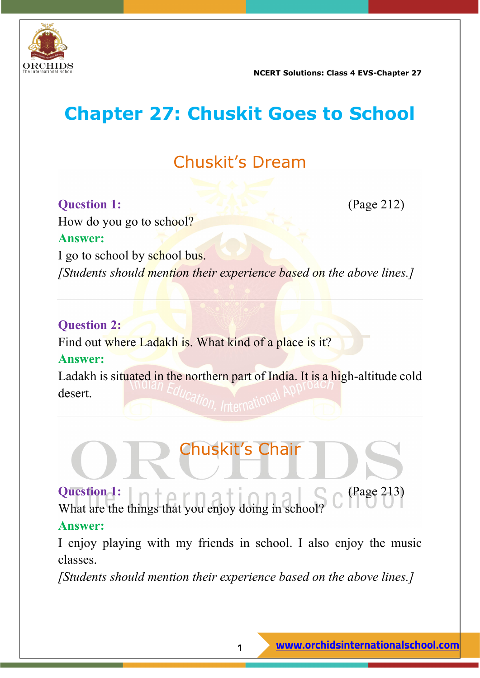

## **Chapter 27: Chuskit Goes to School**

## Chuskit's Dream

#### **Question 1:** (Page 212)

How do you go to school? **Answer:** I go to school by school bus. *[Students should mention their experience based on the above lines.]*

#### **Question 2:**

Find out where Ladakh is. What kind of a place is it?

#### **Answer:**

Ladakh is situated in the northern part of India. It is a high-altitude cold desert.

## Chuskit's Chair

**Question 1:** (Page 213) What are the things that you enjoy doing in school?

#### **Answer:**

I enjoy playing with my friends in school. I also enjoy the music classes.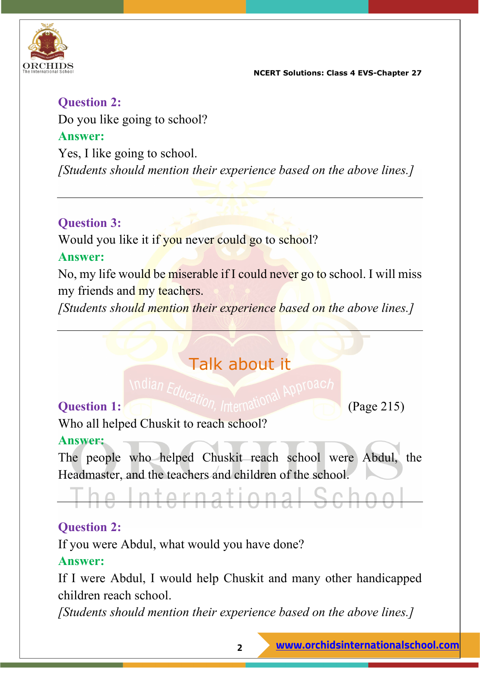

**Question 2:** Do you like going to school? **Answer:** Yes, I like going to school. *[Students should mention their experience based on the above lines.]*

#### **Question 3:**

Would you like it if you never could go to school?

#### **Answer:**

No, my life would be miserable if I could never go to school. I will miss my friends and my teachers.

*[Students should mention their experience based on the above lines.]*

## Talk about it

# **Question 1:** (Page 215)

Who all helped Chuskit to reach school?

#### **Answer:**

The people who helped Chuskit reach school were Abdul, the Headmaster, and the teachers and children of the school.

he International Schoo

### **Question 2:**

If you were Abdul, what would you have done?

#### **Answer:**

If I were Abdul, I would help Chuskit and many other handicapped children reach school.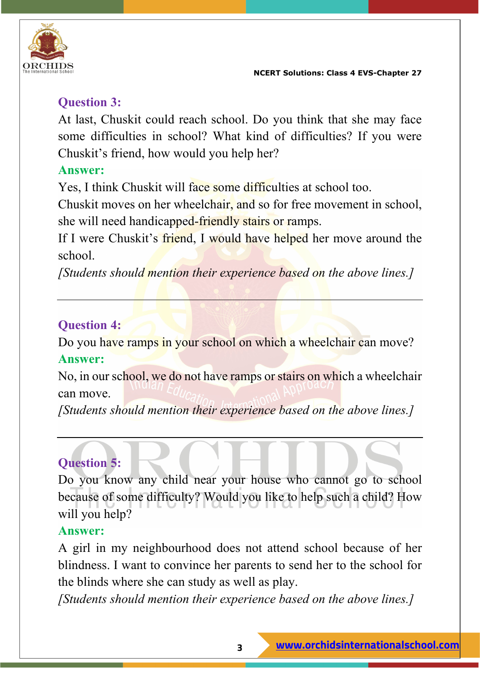

#### **Question 3:**

At last, Chuskit could reach school. Do you think that she may face some difficulties in school? What kind of difficulties? If you were Chuskit's friend, how would you help her?

#### **Answer:**

Yes, I think Chuskit will face some difficulties at school too.

Chuskit moves on her wheelchair, and so for free movement in school, she will need handicapped-friendly stairs or ramps.

If I were Chuskit's friend, I would have helped her move around the school.

*[Students should mention their experience based on the above lines.]*

#### **Question 4:**

Do you have ramps in your school on which a wheelchair can move?

#### **Answer:**

No, in our school, we do not have ramps or stairs on which a wheelchair can move.

*[Students should mention their experience based on the above lines.]*

#### **Question 5:**

Do you know any child near your house who cannot go to school because of some difficulty? Would you like to help such a child? How will you help?

#### **Answer:**

A girl in my neighbourhood does not attend school because of her blindness. I want to convince her parents to send her to the school for the blinds where she can study as well as play.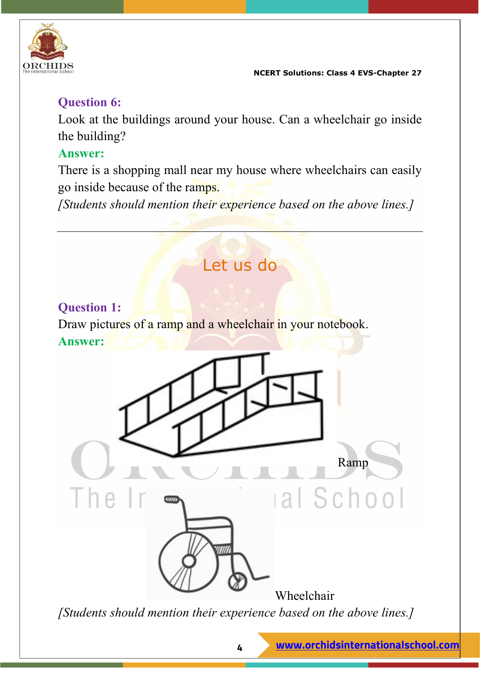

#### **Question 6:**

Look at the buildings around your house. Can a wheelchair go inside the building?

#### **Answer:**

There is a shopping mall near my house where wheelchairs can easily go inside because of the ramps.

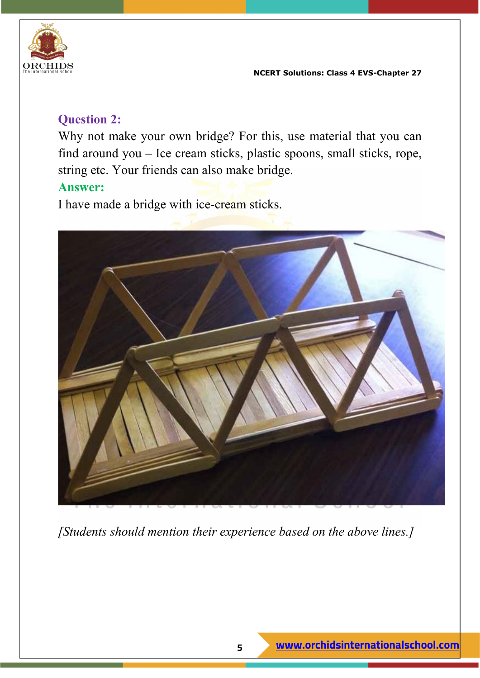

#### **Question 2:**

Why not make your own bridge? For this, use material that you can find around you – Ice cream sticks, plastic spoons, small sticks, rope, string etc. Your friends can also make bridge.

#### **Answer:**

I have made a bridge with ice-cream sticks.

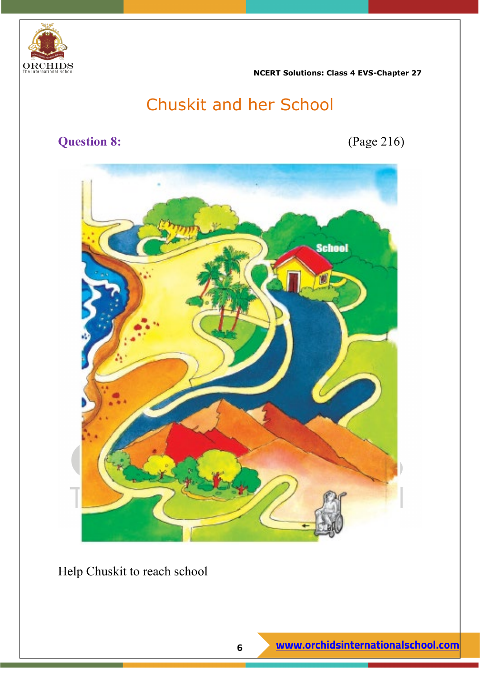

## Chuskit and her School

#### **Question 8:** (Page 216)



Help Chuskit to reach school